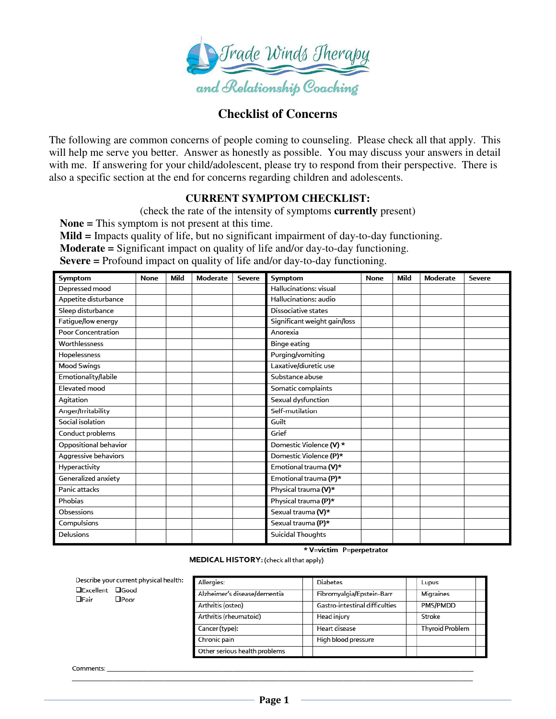

# **Checklist of Concerns**

The following are common concerns of people coming to counseling. Please check all that apply. This will help me serve you better. Answer as honestly as possible. You may discuss your answers in detail with me. If answering for your child/adolescent, please try to respond from their perspective. There is also a specific section at the end for concerns regarding children and adolescents.

### **CURRENT SYMPTOM CHECKLIST:**

(check the rate of the intensity of symptoms **currently** present)

 **None =** This symptom is not present at this time.

 **Mild =** Impacts quality of life, but no significant impairment of day-to-day functioning.

 **Moderate =** Significant impact on quality of life and/or day-to-day functioning.

 **Severe =** Profound impact on quality of life and/or day-to-day functioning.

| Symptom                   | None | Mild | <b>Moderate</b> | <b>Severe</b> | Symptom                      | None | Mild | <b>Moderate</b> | <b>Severe</b> |
|---------------------------|------|------|-----------------|---------------|------------------------------|------|------|-----------------|---------------|
| Depressed mood            |      |      |                 |               | Hallucinations: visual       |      |      |                 |               |
| Appetite disturbance      |      |      |                 |               | Hallucinations: audio        |      |      |                 |               |
| Sleep disturbance         |      |      |                 |               | Dissociative states          |      |      |                 |               |
| Fatigue/low energy        |      |      |                 |               | Significant weight gain/loss |      |      |                 |               |
| <b>Poor Concentration</b> |      |      |                 |               | Anorexia                     |      |      |                 |               |
| Worthlessness             |      |      |                 |               | Binge eating                 |      |      |                 |               |
| Hopelessness              |      |      |                 |               | Purging/vomiting             |      |      |                 |               |
| Mood Swings               |      |      |                 |               | Laxative/diuretic use        |      |      |                 |               |
| Emotionality/labile       |      |      |                 |               | Substance abuse              |      |      |                 |               |
| Elevated mood             |      |      |                 |               | Somatic complaints           |      |      |                 |               |
| Agitation                 |      |      |                 |               | Sexual dysfunction           |      |      |                 |               |
| Anger/Irritability        |      |      |                 |               | Self-mutilation              |      |      |                 |               |
| Social isolation          |      |      |                 |               | Guilt                        |      |      |                 |               |
| Conduct problems          |      |      |                 |               | Grief                        |      |      |                 |               |
| Oppositional behavior     |      |      |                 |               | Domestic Violence (V) *      |      |      |                 |               |
| Aggressive behaviors      |      |      |                 |               | Domestic Violence (P)*       |      |      |                 |               |
| Hyperactivity             |      |      |                 |               | Emotional trauma (V)*        |      |      |                 |               |
| Generalized anxiety       |      |      |                 |               | Emotional trauma (P)*        |      |      |                 |               |
| Panic attacks             |      |      |                 |               | Physical trauma (V)*         |      |      |                 |               |
| Phobias                   |      |      |                 |               | Physical trauma (P)*         |      |      |                 |               |
| Obsessions                |      |      |                 |               | Sexual trauma (V)*           |      |      |                 |               |
| Compulsions               |      |      |                 |               | Sexual trauma (P)*           |      |      |                 |               |
| <b>Delusions</b>          |      |      |                 |               | Suicidal Thoughts            |      |      |                 |               |

\* V=victim P=perpetrator

MEDICAL HISTORY: (check all that apply)

| Describe your current physical health:<br>□Excellent □Good<br>$\Box$ Fair<br>$\Box$ Poor | Allergies:                    | <b>Diabetes</b>                | Lupus                  |
|------------------------------------------------------------------------------------------|-------------------------------|--------------------------------|------------------------|
|                                                                                          | Alzheimer's disease/dementia  | Fibromyalgia/Epstein-Barr      | Migraines              |
|                                                                                          | Arthritis (osteo)             | Gastro-intestinal difficulties | PMS/PMDD               |
|                                                                                          | Arthritis (rheumatoid)        | Head injury                    | Stroke                 |
|                                                                                          | Cancer (type):                | Heart disease                  | <b>Thyroid Problem</b> |
|                                                                                          | Chronic pain                  | High blood pressure            |                        |
|                                                                                          | Other serious health problems |                                |                        |

Comments: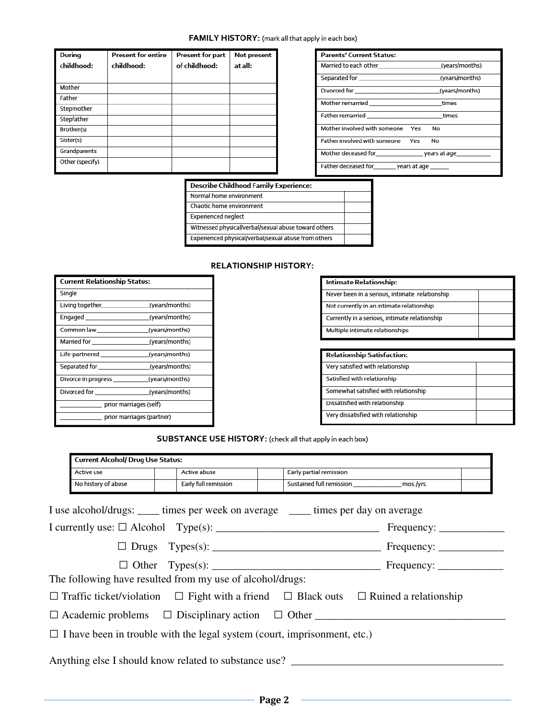### FAMILY HISTORY: (mark all that apply in each box)

| During<br>childhood: | <b>Present for entire</b><br>childhood: | Present for part<br>of childhood: | Not present<br>at all: |
|----------------------|-----------------------------------------|-----------------------------------|------------------------|
|                      |                                         |                                   |                        |
| Mother               |                                         |                                   |                        |
| Father               |                                         |                                   |                        |
| Stepmother           |                                         |                                   |                        |
| Stepfather           |                                         |                                   |                        |
| Brother(s)           |                                         |                                   |                        |
| Sister(s)            |                                         |                                   |                        |
| Grandparents         |                                         |                                   |                        |
| Other (specify)      |                                         |                                   |                        |

| <b>Parents' Current Status:</b>                   |  |
|---------------------------------------------------|--|
| Married to each other states (years/months)       |  |
|                                                   |  |
|                                                   |  |
| Mother remarried ________________________times    |  |
| Father remarried __________________________times  |  |
| Mother involved with someone Yes No               |  |
| Father involved with someone Yes No               |  |
|                                                   |  |
| Father deceased for_________ years at age _______ |  |

#### **Describe Childhood Family Experience:**

| Normal home environment                              |  |
|------------------------------------------------------|--|
| Chaotic home environment                             |  |
| <b>Experienced neglect</b>                           |  |
| Witnessed physical/verbal/sexual abuse toward others |  |
| Experienced physical/verbal/sexual abuse from others |  |

#### **RELATIONSHIP HISTORY:**

| <b>Current Relationship Status:</b>               |                           |
|---------------------------------------------------|---------------------------|
| Single                                            |                           |
|                                                   |                           |
| Engaged (years/months)                            |                           |
|                                                   |                           |
| Married for the control (years/months)            |                           |
| Life-partnered (years/months)                     |                           |
| Separated for the second (years/months)           |                           |
| Divorce in progress _______________(years/months) |                           |
|                                                   |                           |
|                                                   | prior marriages (self)    |
|                                                   | prior marriages (partner) |

| Intimate Relationship:                         |  |
|------------------------------------------------|--|
| Never been in a serious, intimate relationship |  |
| Not currently in an intimate relationship      |  |
| Currently in a serious, intimate relationship  |  |
| Multiple intimate relationships                |  |
|                                                |  |

| <b>Relationship Satisfaction:</b>    |  |
|--------------------------------------|--|
| Very satisfied with relationship     |  |
| Satisfied with relationship          |  |
| Somewhat satisfied with relationship |  |
| Dissatisfied with relationship       |  |
| Very dissatisfied with relationship  |  |

## SUBSTANCE USE HISTORY: (check all that apply in each box)

| Active use          | Active abuse                                                                        | Early partial remission |                                                                                                           |
|---------------------|-------------------------------------------------------------------------------------|-------------------------|-----------------------------------------------------------------------------------------------------------|
| No history of abuse | Early full remission                                                                |                         | Sustained full remission ___________________ mos./yrs.                                                    |
|                     | I use alcohol/drugs: _____ times per week on average _____ times per day on average |                         |                                                                                                           |
|                     |                                                                                     |                         |                                                                                                           |
|                     |                                                                                     |                         |                                                                                                           |
|                     |                                                                                     |                         |                                                                                                           |
|                     | The following have resulted from my use of alcohol/drugs:                           |                         |                                                                                                           |
|                     |                                                                                     |                         | $\Box$ Traffic ticket/violation $\Box$ Fight with a friend $\Box$ Black outs $\Box$ Ruined a relationship |
|                     | $\Box$ Academic problems $\Box$ Disciplinary action $\Box$ Other                    |                         |                                                                                                           |
|                     | $\Box$ I have been in trouble with the legal system (court, imprisonment, etc.)     |                         |                                                                                                           |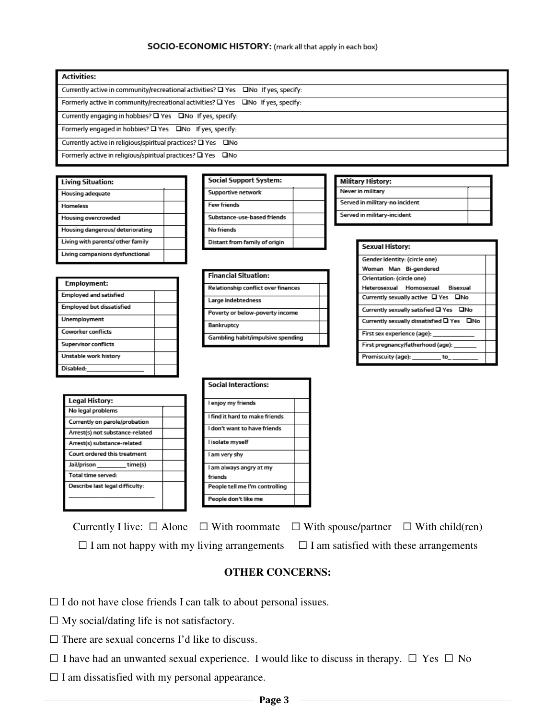#### SOCIO-ECONOMIC HISTORY: (mark all that apply in each box)

| <b>Activities:</b>                                                                           |
|----------------------------------------------------------------------------------------------|
| Currently active in community/recreational activities? $\Box$ Yes $\Box$ No If yes, specify: |
| Formerly active in community/recreational activities? $\Box$ Yes $\Box$ No If yes, specify:  |
| Currently engaging in hobbies? $\square$ Yes $\square$ No If yes, specify:                   |
| Formerly engaged in hobbies? $\square$ Yes $\square$ No If yes, specify:                     |
| Currently active in religious/spiritual practices? □ Yes □No                                 |
| Formerly active in religious/spiritual practices? □ Yes □ No                                 |

| <b>Living Situation:</b>          |  |
|-----------------------------------|--|
| <b>Housing adequate</b>           |  |
| Homeless                          |  |
| <b>Housing overcrowded</b>        |  |
| Housing dangerous/ deteriorating  |  |
| Living with parents/ other family |  |
| Living companions dysfunctional   |  |

| Employment:                      |  |
|----------------------------------|--|
| <b>Employed and satisfied</b>    |  |
| <b>Employed but dissatisfied</b> |  |
| <b>Unemployment</b>              |  |
| Coworker conflicts               |  |
| <b>Supervisor conflicts</b>      |  |
| Unstable work history            |  |
| Disabled:                        |  |

**Legal History:** No legal problems

Jail/prison

Total time served: Describe last legal difficulty:

Currently on parole/probation Arrest(s) not substance-related Arrest(s) substance-related Court ordered this treatment

 $_time(s)$ 

| <b>Social Support System:</b> |  |
|-------------------------------|--|
| Supportive network            |  |
| <b>Few friends</b>            |  |
| Substance-use-based friends   |  |
| No friends                    |  |
| Distant from family of origin |  |

| Financial Situation:                |  |
|-------------------------------------|--|
| Relationship conflict over finances |  |
| Large indebtedness                  |  |
| Poverty or below-poverty income     |  |
| Bankruptcy                          |  |
| Gambling habit/impulsive spending   |  |

| <b>Social Interactions:</b>    |  |
|--------------------------------|--|
| I enjoy my friends             |  |
| l find it hard to make friends |  |
| l don't want to have friends   |  |
| l isolate myself               |  |
| l am very shy                  |  |
| I am always angry at my        |  |
| friends                        |  |
| People tell me I'm controlling |  |
| People don't like me           |  |

| Never in military |                                |  |
|-------------------|--------------------------------|--|
|                   | Served in military-no incident |  |
|                   | Served in military-incident    |  |
|                   |                                |  |
|                   | <b>Sexual History:</b>         |  |
|                   | Candor Idamtitu. Icircle anali |  |

**Military History:** 

| Gender Identity: (circle one)             |  |
|-------------------------------------------|--|
| Woman Man Bi-gendered                     |  |
| Orientation: (circle one)                 |  |
| Heterosexual Homosexual Bisexual          |  |
| Currently sexually active □ Yes □ No      |  |
| Currently sexually satisfied □ Yes □No    |  |
| Currently sexually dissatisfied □ Yes □No |  |
| First sex experience (age):               |  |
| First pregnancy/fatherhood (age):         |  |
| Promiscuity (age):<br>to                  |  |

| Currently I live: $\Box$ Alone $\Box$ With roommate $\Box$ With spouse/partner $\Box$ With child(ren) |                                                                                                 |  |
|-------------------------------------------------------------------------------------------------------|-------------------------------------------------------------------------------------------------|--|
|                                                                                                       | $\Box$ I am not happy with my living arrangements $\Box$ I am satisfied with these arrangements |  |

## **OTHER CONCERNS:**

□ I do not have close friends I can talk to about personal issues.

- □ My social/dating life is not satisfactory.
- $\square$  There are sexual concerns I'd like to discuss.
- □ I have had an unwanted sexual experience. I would like to discuss in therapy. □ Yes □ No
- □ I am dissatisfied with my personal appearance.